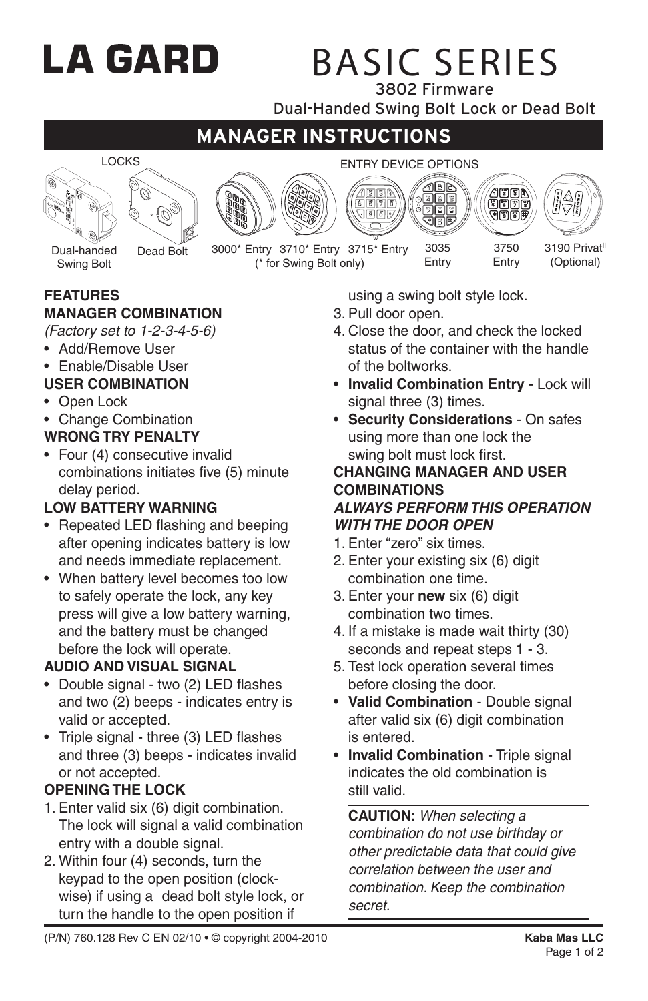# LA GARD

## BASIC SERIES

3802 Firmware

Dual-Handed Swing Bolt Lock or Dead Bolt

## **MANAGER INSTRUCTIONS**



Swing Bolt







Dead Bolt 3000\* Entry 3710\* Entry 3715\* Entry 3035 3750 3190 Privat<sup>11</sup> (\* for Swing Bolt only)

**FEATURES**

## **MANAGER COMBINATION**

- *(Factory set to 1-2-3-4-5-6)*
- Add/Remove User
- Enable/Disable User

## **USER COMBINATION**

- Open Lock
- Change Combination

## **WRONG TRY PENALTY**

• Four (4) consecutive invalid combinations initiates five (5) minute delay period.

## **LOW BATTERY WARNING**

- Repeated LED flashing and beeping after opening indicates battery is low and needs immediate replacement.
- When battery level becomes too low to safely operate the lock, any key press will give a low battery warning, and the battery must be changed before the lock will operate.

## **AUDIO AND VISUAL SIGNAL**

- Double signal two (2) LED flashes and two (2) beeps - indicates entry is valid or accepted.
- Triple signal three (3) LED flashes and three (3) beeps - indicates invalid or not accepted.

## **OPENING THE LOCK**

- 1. Enter valid six (6) digit combination. The lock will signal a valid combination entry with a double signal.
- 2. Within four (4) seconds, turn the keypad to the open position (clockwise) if using a dead bolt style lock, or turn the handle to the open position if

using a swing bolt style lock.

3035 Entry

- 3. Pull door open.
- 4. Close the door, and check the locked status of the container with the handle of the boltworks.

Entry

(Optional)

- **Invalid Combination Entry** Lock will signal three (3) times.
- **Security Considerations** On safes using more than one lock the swing bolt must lock first.

#### **CHANGING MANAGER AND USER COMBINATIONS** *ALWAYS PERFORM THIS OPERATION WITH THE DOOR OPEN*

- 1. Enter "zero" six times.
- 2. Enter your existing six (6) digit combination one time.
- 3. Enter your **new** six (6) digit combination two times.
- 4. If a mistake is made wait thirty (30) seconds and repeat steps 1 - 3.
- 5. Test lock operation several times before closing the door.
- **Valid Combination** Double signal after valid six (6) digit combination is entered.
- **Invalid Combination** Triple signal indicates the old combination is still valid.

**CAUTION:** *When selecting a combination do not use birthday or other predictable data that could give correlation between the user and combination. Keep the combination secret.*